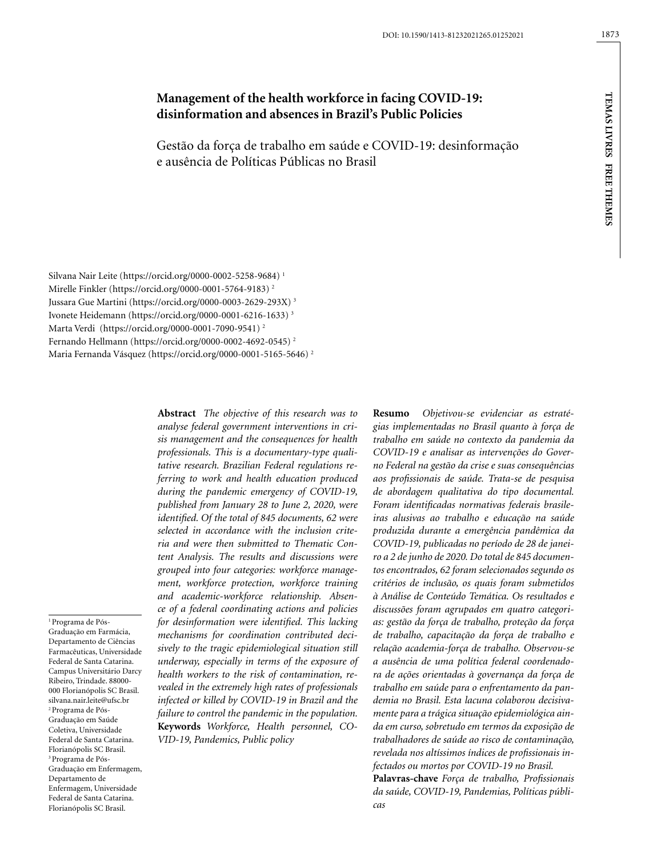# **Management of the health workforce in facing COVID-19: disinformation and absences in Brazil's Public Policies**

Gestão da força de trabalho em saúde e COVID-19: desinformação e ausência de Políticas Públicas no Brasil

**Temas livres F ree The TEMAS LIVRES FREE THEMES** 

Silvana Nair Leite (https://orcid.org/0000-0002-5258-9684) 1 Mirelle Finkler (https://orcid.org/0000-0001-5764-9183) 2 Jussara Gue Martini (https://orcid.org/0000-0003-2629-293X) 3 Ivonete Heidemann (https://orcid.org/0000-0001-6216-1633) 3 Marta Verdi (https://orcid.org/0000-0001-7090-9541) 2 Fernando Hellmann (https://orcid.org/0000-0002-4692-0545) 2 Maria Fernanda Vásquez (https://orcid.org/0000-0001-5165-5646) 2

> **Abstract** *The objective of this research was to analyse federal government interventions in crisis management and the consequences for health professionals. This is a documentary-type qualitative research. Brazilian Federal regulations referring to work and health education produced during the pandemic emergency of COVID-19, published from January 28 to June 2, 2020, were identified. Of the total of 845 documents, 62 were selected in accordance with the inclusion criteria and were then submitted to Thematic Content Analysis. The results and discussions were grouped into four categories: workforce management, workforce protection, workforce training and academic-workforce relationship. Absence of a federal coordinating actions and policies for desinformation were identified. This lacking mechanisms for coordination contributed decisively to the tragic epidemiological situation still underway, especially in terms of the exposure of health workers to the risk of contamination, revealed in the extremely high rates of professionals infected or killed by COVID-19 in Brazil and the failure to control the pandemic in the population.*  **Keywords** *Workforce, Health personnel, CO-VID-19, Pandemics, Public policy*

1 Programa de Pós-Graduação em Farmácia, Departamento de Ciências Farmacêuticas, Universidade Federal de Santa Catarina. Campus Universitário Darcy Ribeiro, Trindade. 88000- 000 Florianópolis SC Brasil. silvana.nair.leite@ufsc.br 2 Programa de Pós-Graduação em Saúde Coletiva, Universidade Federal de Santa Catarina. Florianópolis SC Brasil. 3 Programa de Pós-Graduação em Enfermagem, Departamento de Enfermagem, Universidade Federal de Santa Catarina. Florianópolis SC Brasil.

*no Federal na gestão da crise e suas consequências aos profissionais de saúde. Trata-se de pesquisa de abordagem qualitativa do tipo documental. Foram identificadas normativas federais brasileiras alusivas ao trabalho e educação na saúde produzida durante a emergência pandêmica da COVID-19, publicadas no período de 28 de janeiro a 2 de junho de 2020. Do total de 845 documentos encontrados, 62 foram selecionados segundo os critérios de inclusão, os quais foram submetidos à Análise de Conteúdo Temática. Os resultados e discussões foram agrupados em quatro categorias: gestão da força de trabalho, proteção da força de trabalho, capacitação da força de trabalho e relação academia-força de trabalho. Observou-se a ausência de uma política federal coordenadora de ações orientadas à governança da força de trabalho em saúde para o enfrentamento da pandemia no Brasil. Esta lacuna colaborou decisivamente para a trágica situação epidemiológica ainda em curso, sobretudo em termos da exposição de trabalhadores de saúde ao risco de contaminação, revelada nos altíssimos índices de profissionais infectados ou mortos por COVID-19 no Brasil.*  **Palavras-chave** *Força de trabalho, Profissionais* 

**Resumo** *Objetivou-se evidenciar as estratégias implementadas no Brasil quanto à força de trabalho em saúde no contexto da pandemia da COVID-19 e analisar as intervenções do Gover-*

*da saúde, COVID-19, Pandemias, Políticas públicas*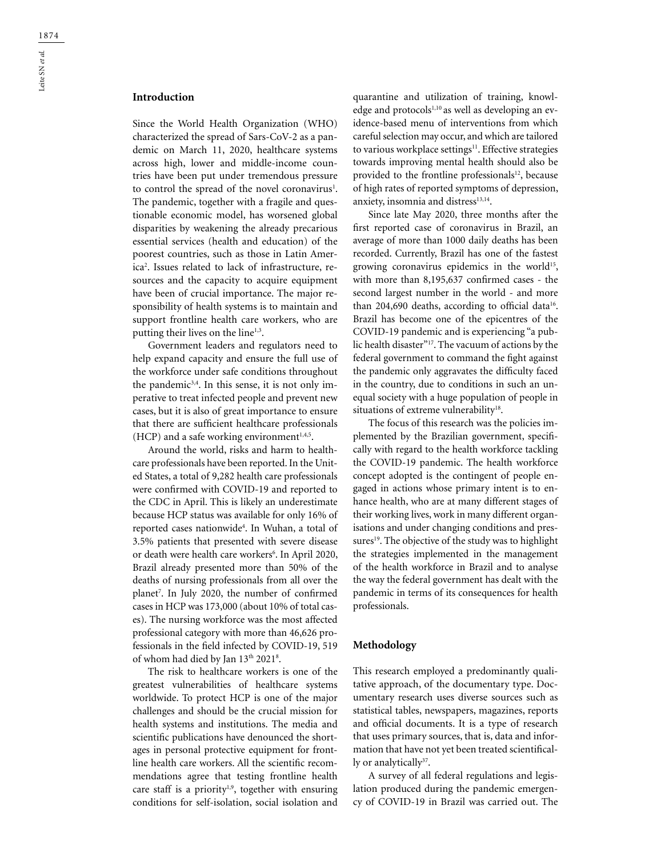## **Introduction**

Since the World Health Organization (WHO) characterized the spread of Sars-CoV-2 as a pandemic on March 11, 2020, healthcare systems across high, lower and middle-income countries have been put under tremendous pressure to control the spread of the novel coronavirus<sup>1</sup>. The pandemic, together with a fragile and questionable economic model, has worsened global disparities by weakening the already precarious essential services (health and education) of the poorest countries, such as those in Latin America2 . Issues related to lack of infrastructure, resources and the capacity to acquire equipment have been of crucial importance. The major responsibility of health systems is to maintain and support frontline health care workers, who are putting their lives on the line<sup>1,3</sup>.

Government leaders and regulators need to help expand capacity and ensure the full use of the workforce under safe conditions throughout the pandemic<sup>3,4</sup>. In this sense, it is not only imperative to treat infected people and prevent new cases, but it is also of great importance to ensure that there are sufficient healthcare professionals (HCP) and a safe working environment $1,4,5$ .

Around the world, risks and harm to healthcare professionals have been reported. In the United States, a total of 9,282 health care professionals were confirmed with COVID-19 and reported to the CDC in April. This is likely an underestimate because HCP status was available for only 16% of reported cases nationwide4 . In Wuhan, a total of 3.5% patients that presented with severe disease or death were health care workers<sup>6</sup>. In April 2020, Brazil already presented more than 50% of the deaths of nursing professionals from all over the planet7 . In July 2020, the number of confirmed cases in HCP was 173,000 (about 10% of total cases). The nursing workforce was the most affected professional category with more than 46,626 professionals in the field infected by COVID-19, 519 of whom had died by Jan 13th 20218 .

The risk to healthcare workers is one of the greatest vulnerabilities of healthcare systems worldwide. To protect HCP is one of the major challenges and should be the crucial mission for health systems and institutions. The media and scientific publications have denounced the shortages in personal protective equipment for frontline health care workers. All the scientific recommendations agree that testing frontline health care staff is a priority<sup>1,9</sup>, together with ensuring conditions for self-isolation, social isolation and

quarantine and utilization of training, knowledge and protocols<sup>1,10</sup> as well as developing an evidence-based menu of interventions from which careful selection may occur, and which are tailored to various workplace settings<sup>11</sup>. Effective strategies towards improving mental health should also be provided to the frontline professionals<sup>12</sup>, because of high rates of reported symptoms of depression, anxiety, insomnia and distress<sup>13,14</sup>.

Since late May 2020, three months after the first reported case of coronavirus in Brazil, an average of more than 1000 daily deaths has been recorded. Currently, Brazil has one of the fastest growing coronavirus epidemics in the world<sup>15</sup>, with more than 8,195,637 confirmed cases - the second largest number in the world - and more than 204,690 deaths, according to official data<sup>16</sup>. Brazil has become one of the epicentres of the COVID-19 pandemic and is experiencing "a public health disaster"17. The vacuum of actions by the federal government to command the fight against the pandemic only aggravates the difficulty faced in the country, due to conditions in such an unequal society with a huge population of people in situations of extreme vulnerability<sup>18</sup>.

The focus of this research was the policies implemented by the Brazilian government, specifically with regard to the health workforce tackling the COVID-19 pandemic. The health workforce concept adopted is the contingent of people engaged in actions whose primary intent is to enhance health, who are at many different stages of their working lives, work in many different organisations and under changing conditions and pressures<sup>19</sup>. The objective of the study was to highlight the strategies implemented in the management of the health workforce in Brazil and to analyse the way the federal government has dealt with the pandemic in terms of its consequences for health professionals.

## **Methodology**

This research employed a predominantly qualitative approach, of the documentary type. Documentary research uses diverse sources such as statistical tables, newspapers, magazines, reports and official documents. It is a type of research that uses primary sources, that is, data and information that have not yet been treated scientifically or analytically<sup>37</sup>.

A survey of all federal regulations and legislation produced during the pandemic emergency of COVID-19 in Brazil was carried out. The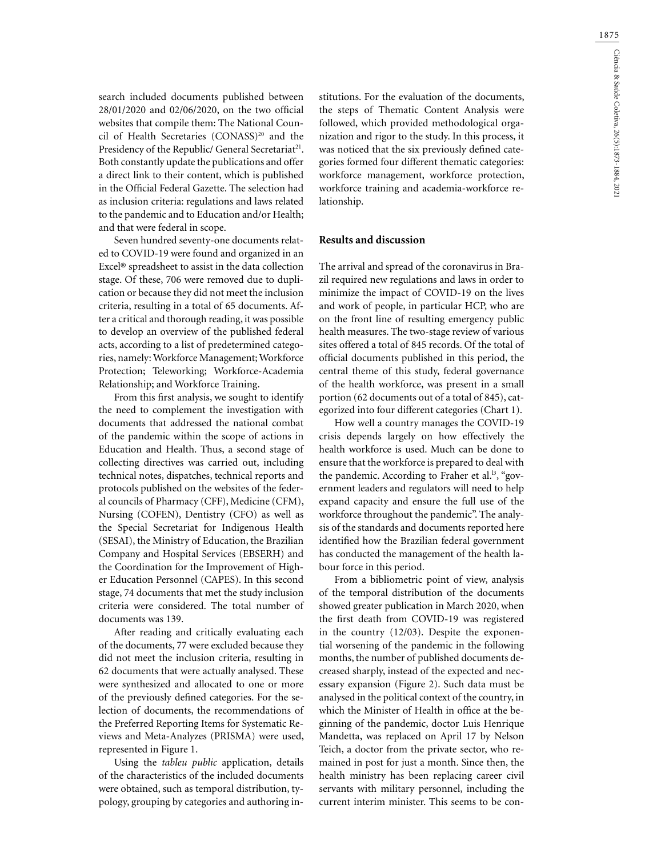search included documents published between 28/01/2020 and 02/06/2020, on the two official websites that compile them: The National Council of Health Secretaries (CONASS)<sup>20</sup> and the Presidency of the Republic/ General Secretariat<sup>21</sup>. Both constantly update the publications and offer a direct link to their content, which is published in the Official Federal Gazette. The selection had as inclusion criteria: regulations and laws related to the pandemic and to Education and/or Health; and that were federal in scope.

Seven hundred seventy-one documents related to COVID-19 were found and organized in an Excel® spreadsheet to assist in the data collection stage. Of these, 706 were removed due to duplication or because they did not meet the inclusion criteria, resulting in a total of 65 documents. After a critical and thorough reading, it was possible to develop an overview of the published federal acts, according to a list of predetermined categories, namely: Workforce Management; Workforce Protection; Teleworking; Workforce-Academia Relationship; and Workforce Training.

From this first analysis, we sought to identify the need to complement the investigation with documents that addressed the national combat of the pandemic within the scope of actions in Education and Health. Thus, a second stage of collecting directives was carried out, including technical notes, dispatches, technical reports and protocols published on the websites of the federal councils of Pharmacy (CFF), Medicine (CFM), Nursing (COFEN), Dentistry (CFO) as well as the Special Secretariat for Indigenous Health (SESAI), the Ministry of Education, the Brazilian Company and Hospital Services (EBSERH) and the Coordination for the Improvement of Higher Education Personnel (CAPES). In this second stage, 74 documents that met the study inclusion criteria were considered. The total number of documents was 139.

After reading and critically evaluating each of the documents, 77 were excluded because they did not meet the inclusion criteria, resulting in 62 documents that were actually analysed. These were synthesized and allocated to one or more of the previously defined categories. For the selection of documents, the recommendations of the Preferred Reporting Items for Systematic Reviews and Meta-Analyzes (PRISMA) were used, represented in Figure 1.

Using the *tableu public* application, details of the characteristics of the included documents were obtained, such as temporal distribution, typology, grouping by categories and authoring in-

stitutions. For the evaluation of the documents, the steps of Thematic Content Analysis were followed, which provided methodological organization and rigor to the study. In this process, it was noticed that the six previously defined categories formed four different thematic categories: workforce management, workforce protection, workforce training and academia-workforce relationship.

## **Results and discussion**

The arrival and spread of the coronavirus in Brazil required new regulations and laws in order to minimize the impact of COVID-19 on the lives and work of people, in particular HCP, who are on the front line of resulting emergency public health measures. The two-stage review of various sites offered a total of 845 records. Of the total of official documents published in this period, the central theme of this study, federal governance of the health workforce, was present in a small portion (62 documents out of a total of 845), categorized into four different categories (Chart 1).

How well a country manages the COVID-19 crisis depends largely on how effectively the health workforce is used. Much can be done to ensure that the workforce is prepared to deal with the pandemic. According to Fraher et al.<sup>13</sup>, "government leaders and regulators will need to help expand capacity and ensure the full use of the workforce throughout the pandemic". The analysis of the standards and documents reported here identified how the Brazilian federal government has conducted the management of the health labour force in this period.

From a bibliometric point of view, analysis of the temporal distribution of the documents showed greater publication in March 2020, when the first death from COVID-19 was registered in the country (12/03). Despite the exponential worsening of the pandemic in the following months, the number of published documents decreased sharply, instead of the expected and necessary expansion (Figure 2). Such data must be analysed in the political context of the country, in which the Minister of Health in office at the beginning of the pandemic, doctor Luis Henrique Mandetta, was replaced on April 17 by Nelson Teich, a doctor from the private sector, who remained in post for just a month. Since then, the health ministry has been replacing career civil servants with military personnel, including the current interim minister. This seems to be con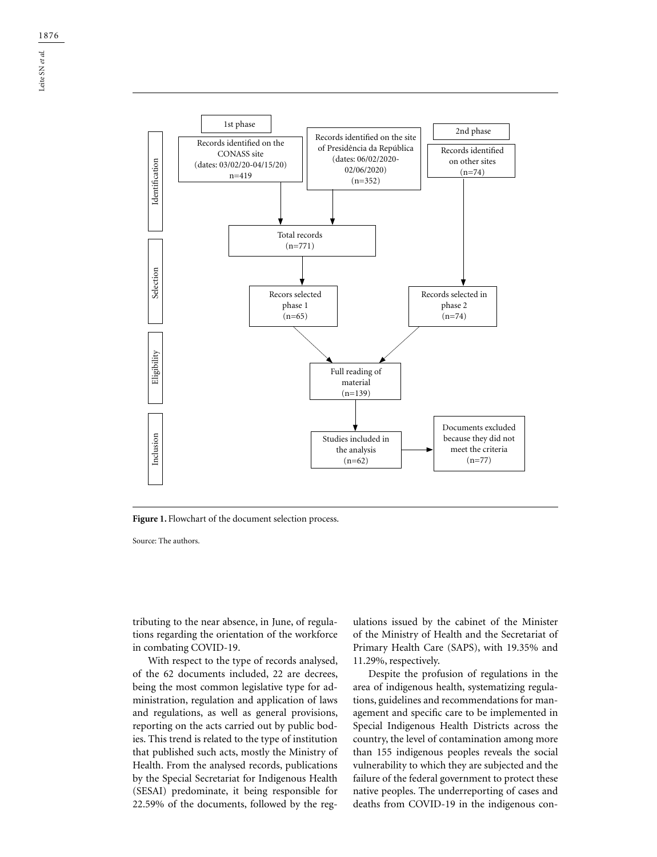1876



Figure 1. Flowchart of the document selection process.

Source: The authors.

tributing to the near absence, in June, of regulations regarding the orientation of the workforce in combating COVID-19.

With respect to the type of records analysed, of the 62 documents included, 22 are decrees, being the most common legislative type for administration, regulation and application of laws and regulations, as well as general provisions, reporting on the acts carried out by public bodies. This trend is related to the type of institution that published such acts, mostly the Ministry of Health. From the analysed records, publications by the Special Secretariat for Indigenous Health (SESAI) predominate, it being responsible for 22.59% of the documents, followed by the regulations issued by the cabinet of the Minister of the Ministry of Health and the Secretariat of Primary Health Care (SAPS), with 19.35% and 11.29%, respectively.

Despite the profusion of regulations in the area of indigenous health, systematizing regulations, guidelines and recommendations for management and specific care to be implemented in Special Indigenous Health Districts across the country, the level of contamination among more than 155 indigenous peoples reveals the social vulnerability to which they are subjected and the failure of the federal government to protect these native peoples. The underreporting of cases and deaths from COVID-19 in the indigenous con-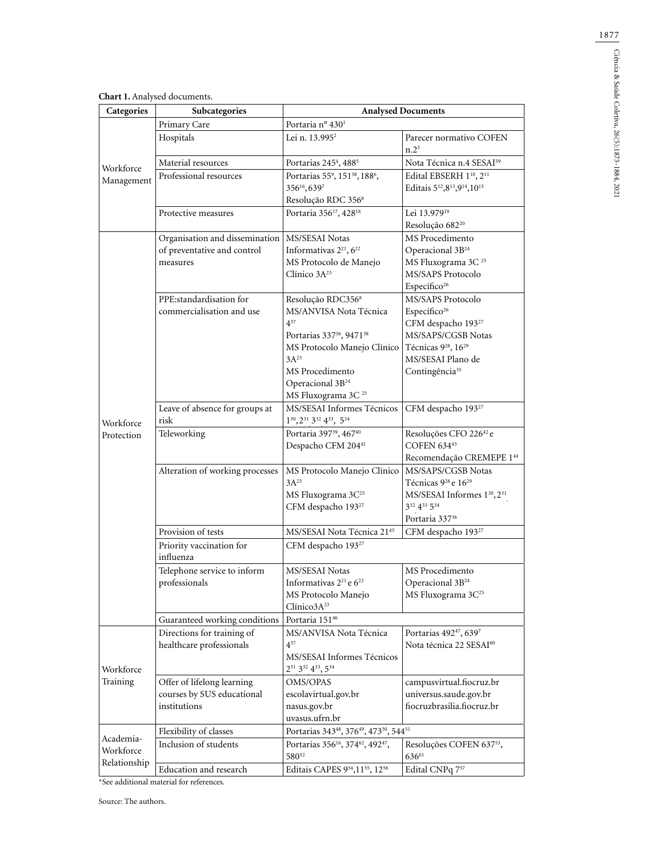| Categories                             | Subcategories                                                             | <b>Analysed Documents</b>                                                                                                                                                                                                                                |                                                                                                                                                                                                         |
|----------------------------------------|---------------------------------------------------------------------------|----------------------------------------------------------------------------------------------------------------------------------------------------------------------------------------------------------------------------------------------------------|---------------------------------------------------------------------------------------------------------------------------------------------------------------------------------------------------------|
| Workforce<br>Management                | Primary Care                                                              | Portaria nº 430 <sup>1</sup>                                                                                                                                                                                                                             |                                                                                                                                                                                                         |
|                                        | Hospitals                                                                 | Lei n. 13.995 <sup>2</sup>                                                                                                                                                                                                                               | Parecer normativo COFEN<br>n.2 <sup>3</sup>                                                                                                                                                             |
|                                        | Material resources                                                        | Portarias 245 <sup>4</sup> , 488 <sup>5</sup>                                                                                                                                                                                                            | Nota Técnica n.4 SESAI <sup>59</sup>                                                                                                                                                                    |
|                                        | Professional resources                                                    | Portarias 55 <sup>9</sup> , 151 <sup>58</sup> , 188 <sup>6</sup> ,<br>356 <sup>16</sup> , 639 <sup>7</sup><br>Resolução RDC 356 <sup>8</sup>                                                                                                             | Edital EBSERH 1 <sup>10</sup> , 2 <sup>11</sup><br>Editais 5 <sup>12</sup> , 8 <sup>13</sup> , 9 <sup>14</sup> , 10 <sup>15</sup>                                                                       |
|                                        | Protective measures                                                       | Portaria 356 <sup>17</sup> , 428 <sup>18</sup>                                                                                                                                                                                                           | Lei 13.979 <sup>19</sup><br>Resolução 682 <sup>20</sup>                                                                                                                                                 |
| Workforce<br>Protection                | Organisation and dissemination<br>of preventative and control<br>measures | MS/SESAI Notas<br>Informativas $2^{21}$ , $6^{22}$<br>MS Protocolo de Manejo<br>Clínico $3A^{23}$                                                                                                                                                        | MS Procedimento<br>Operacional 3B <sup>24</sup><br>MS Fluxograma 3C <sup>25</sup><br>MS/SAPS Protocolo<br>Específico <sup>26</sup>                                                                      |
|                                        | PPE:standardisation for<br>commercialisation and use                      | Resolução RDC356 <sup>8</sup><br>MS/ANVISA Nota Técnica<br>$4^{37}$<br>Portarias 337 <sup>36</sup> , 9471 <sup>38</sup><br>MS Protocolo Manejo Clínico<br>$3A^{23}$<br>MS Procedimento<br>Operacional 3B <sup>24</sup><br>MS Fluxograma 3C <sup>25</sup> | MS/SAPS Protocolo<br>Específico <sup>26</sup><br>CFM despacho 193 <sup>27</sup><br>MS/SAPS/CGSB Notas<br>Técnicas 9 <sup>28</sup> , 16 <sup>29</sup><br>MS/SESAI Plano de<br>Contingência <sup>35</sup> |
|                                        | Leave of absence for groups at<br>risk                                    | MS/SESAI Informes Técnicos<br>$1^{30}$ , $2^{31}$ $3^{32}$ $4^{33}$ , $5^{34}$                                                                                                                                                                           | CFM despacho 193 <sup>27</sup>                                                                                                                                                                          |
|                                        | Teleworking                                                               | Portaria 397 <sup>39</sup> , 467 <sup>40</sup><br>Despacho CFM 204 <sup>41</sup>                                                                                                                                                                         | Resoluções CFO 226 <sup>42</sup> e<br><b>COFEN 63443</b><br>Recomendação CREMEPE 144                                                                                                                    |
|                                        | Alteration of working processes                                           | MS Protocolo Manejo Clínico<br>$3A^{23}$<br>MS Fluxograma 3C <sup>25</sup><br>CFM despacho 193 <sup>27</sup>                                                                                                                                             | MS/SAPS/CGSB Notas<br>Técnicas 9 <sup>28</sup> e 16 <sup>29</sup><br>MS/SESAI Informes 1 <sup>30</sup> , 2 <sup>31</sup><br>$3^{32}$ $4^{33}$ $5^{34}$<br>Portaria 33736                                |
|                                        | Provision of tests                                                        | MS/SESAI Nota Técnica 2145                                                                                                                                                                                                                               | CFM despacho 193 <sup>27</sup>                                                                                                                                                                          |
|                                        | Priority vaccination for<br>influenza                                     | CFM despacho 193 <sup>27</sup>                                                                                                                                                                                                                           |                                                                                                                                                                                                         |
|                                        | Telephone service to inform<br>professionals                              | MS/SESAI Notas<br>Informativas $2^{21}$ e 6 <sup>22</sup><br>MS Protocolo Manejo<br>Clínico3A <sup>23</sup>                                                                                                                                              | MS Procedimento<br>Operacional 3B <sup>24</sup><br>MS Fluxograma 3C <sup>25</sup>                                                                                                                       |
|                                        | Guaranteed working conditions                                             | Portaria 15146                                                                                                                                                                                                                                           |                                                                                                                                                                                                         |
| Workforce<br>Training                  | Directions for training of<br>healthcare professionals                    | MS/ANVISA Nota Técnica<br>$4^{37}$<br>MS/SESAI Informes Técnicos<br>231 332 433, 534                                                                                                                                                                     | Portarias 49247, 6397<br>Nota técnica 22 SESAI <sup>60</sup>                                                                                                                                            |
|                                        | Offer of lifelong learning<br>courses by SUS educational<br>institutions  | OMS/OPAS<br>escolavirtual.gov.br<br>nasus.gov.br<br>uvasus.ufrn.br                                                                                                                                                                                       | campusvirtual.fiocruz.br<br>universus.saude.gov.br<br>fiocruzbrasilia.fiocruz.br                                                                                                                        |
| Academia-<br>Workforce<br>Relationship | Flexibility of classes                                                    | Portarias 34348, 37649, 47350, 54451                                                                                                                                                                                                                     |                                                                                                                                                                                                         |
|                                        | Inclusion of students                                                     | Portarias 356 <sup>16</sup> , 374 <sup>62</sup> , 492 <sup>47</sup> ,<br>58052                                                                                                                                                                           | Resoluções COFEN 63753,<br>63661                                                                                                                                                                        |
|                                        | Education and research                                                    | Editais CAPES 954, 1155, 1256                                                                                                                                                                                                                            | Edital CNPq 757                                                                                                                                                                                         |

\*See additional material for references.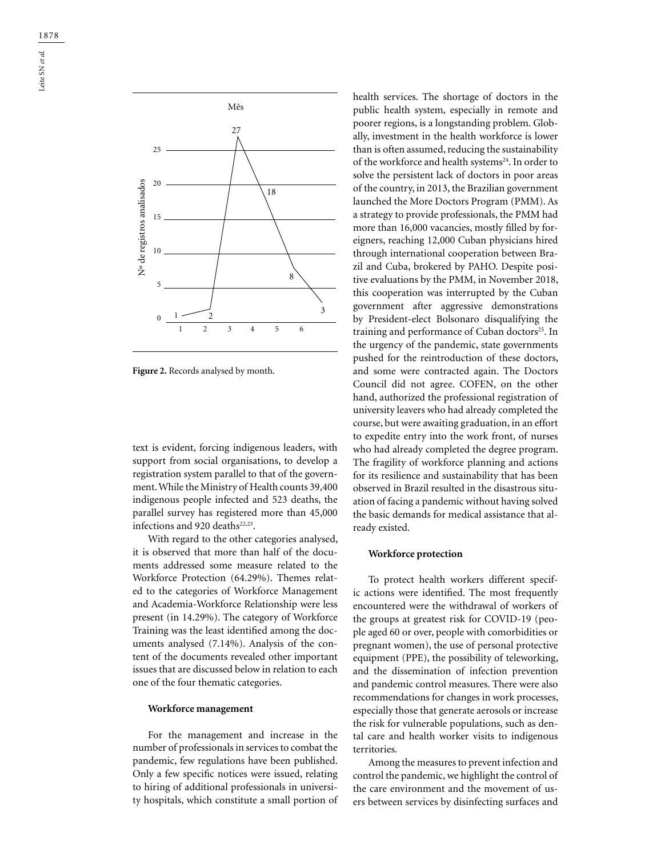1878



**Figure 2.** Records analysed by month.

text is evident, forcing indigenous leaders, with support from social organisations, to develop a registration system parallel to that of the government. While the Ministry of Health counts 39,400 indigenous people infected and 523 deaths, the parallel survey has registered more than 45,000 infections and 920 deaths $22,23$ .

With regard to the other categories analysed, it is observed that more than half of the documents addressed some measure related to the Workforce Protection (64.29%). Themes related to the categories of Workforce Management and Academia-Workforce Relationship were less present (in 14.29%). The category of Workforce Training was the least identified among the documents analysed (7.14%). Analysis of the content of the documents revealed other important issues that are discussed below in relation to each one of the four thematic categories.

## **Workforce management**

For the management and increase in the number of professionals in services to combat the pandemic, few regulations have been published. Only a few specific notices were issued, relating to hiring of additional professionals in university hospitals, which constitute a small portion of health services. The shortage of doctors in the public health system, especially in remote and poorer regions, is a longstanding problem. Globally, investment in the health workforce is lower than is often assumed, reducing the sustainability of the workforce and health systems<sup>24</sup>. In order to solve the persistent lack of doctors in poor areas of the country, in 2013, the Brazilian government launched the More Doctors Program (PMM). As a strategy to provide professionals, the PMM had more than 16,000 vacancies, mostly filled by foreigners, reaching 12,000 Cuban physicians hired through international cooperation between Brazil and Cuba, brokered by PAHO. Despite positive evaluations by the PMM, in November 2018, this cooperation was interrupted by the Cuban government after aggressive demonstrations by President-elect Bolsonaro disqualifying the training and performance of Cuban doctors<sup>25</sup>. In the urgency of the pandemic, state governments pushed for the reintroduction of these doctors, and some were contracted again. The Doctors Council did not agree. COFEN, on the other hand, authorized the professional registration of university leavers who had already completed the course, but were awaiting graduation, in an effort to expedite entry into the work front, of nurses who had already completed the degree program. The fragility of workforce planning and actions for its resilience and sustainability that has been observed in Brazil resulted in the disastrous situation of facing a pandemic without having solved the basic demands for medical assistance that already existed.

#### **Workforce protection**

To protect health workers different specific actions were identified. The most frequently encountered were the withdrawal of workers of the groups at greatest risk for COVID-19 (people aged 60 or over, people with comorbidities or pregnant women), the use of personal protective equipment (PPE), the possibility of teleworking, and the dissemination of infection prevention and pandemic control measures. There were also recommendations for changes in work processes, especially those that generate aerosols or increase the risk for vulnerable populations, such as dental care and health worker visits to indigenous territories.

Among the measures to prevent infection and control the pandemic, we highlight the control of the care environment and the movement of users between services by disinfecting surfaces and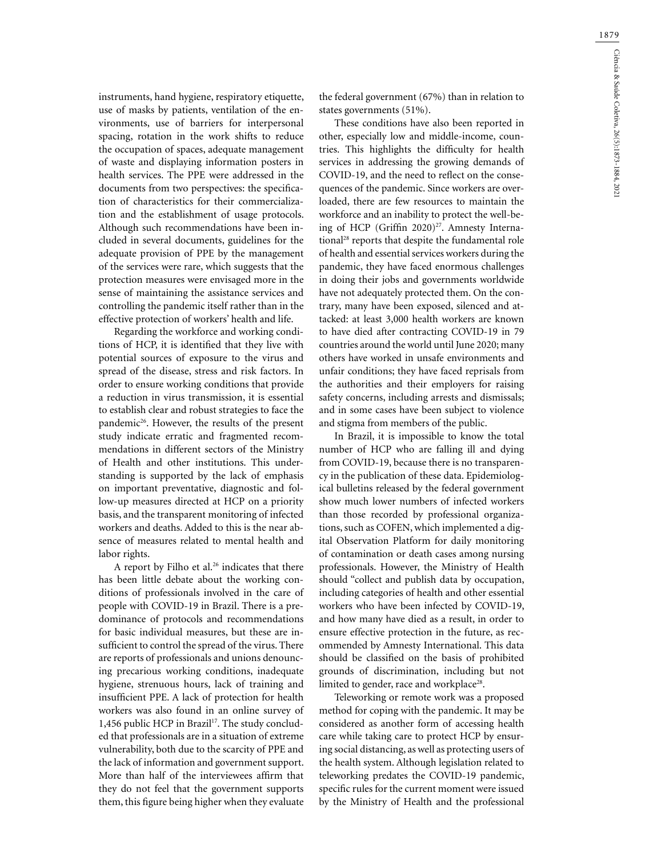instruments, hand hygiene, respiratory etiquette, use of masks by patients, ventilation of the environments, use of barriers for interpersonal spacing, rotation in the work shifts to reduce the occupation of spaces, adequate management of waste and displaying information posters in health services. The PPE were addressed in the documents from two perspectives: the specification of characteristics for their commercialization and the establishment of usage protocols. Although such recommendations have been included in several documents, guidelines for the adequate provision of PPE by the management of the services were rare, which suggests that the protection measures were envisaged more in the sense of maintaining the assistance services and controlling the pandemic itself rather than in the effective protection of workers' health and life.

Regarding the workforce and working conditions of HCP, it is identified that they live with potential sources of exposure to the virus and spread of the disease, stress and risk factors. In order to ensure working conditions that provide a reduction in virus transmission, it is essential to establish clear and robust strategies to face the pandemic<sup>26</sup>. However, the results of the present study indicate erratic and fragmented recommendations in different sectors of the Ministry of Health and other institutions. This understanding is supported by the lack of emphasis on important preventative, diagnostic and follow-up measures directed at HCP on a priority basis, and the transparent monitoring of infected workers and deaths. Added to this is the near absence of measures related to mental health and labor rights.

A report by Filho et al.<sup>26</sup> indicates that there has been little debate about the working conditions of professionals involved in the care of people with COVID-19 in Brazil. There is a predominance of protocols and recommendations for basic individual measures, but these are insufficient to control the spread of the virus. There are reports of professionals and unions denouncing precarious working conditions, inadequate hygiene, strenuous hours, lack of training and insufficient PPE. A lack of protection for health workers was also found in an online survey of 1,456 public HCP in Brazil<sup>17</sup>. The study concluded that professionals are in a situation of extreme vulnerability, both due to the scarcity of PPE and the lack of information and government support. More than half of the interviewees affirm that they do not feel that the government supports them, this figure being higher when they evaluate the federal government (67%) than in relation to states governments (51%).

These conditions have also been reported in other, especially low and middle-income, countries. This highlights the difficulty for health services in addressing the growing demands of COVID-19, and the need to reflect on the consequences of the pandemic. Since workers are overloaded, there are few resources to maintain the workforce and an inability to protect the well-being of HCP (Griffin 2020)<sup>27</sup>. Amnesty International<sup>28</sup> reports that despite the fundamental role of health and essential services workers during the pandemic, they have faced enormous challenges in doing their jobs and governments worldwide have not adequately protected them. On the contrary, many have been exposed, silenced and attacked: at least 3,000 health workers are known to have died after contracting COVID-19 in 79 countries around the world until June 2020; many others have worked in unsafe environments and unfair conditions; they have faced reprisals from the authorities and their employers for raising safety concerns, including arrests and dismissals; and in some cases have been subject to violence and stigma from members of the public.

In Brazil, it is impossible to know the total number of HCP who are falling ill and dying from COVID-19, because there is no transparency in the publication of these data. Epidemiological bulletins released by the federal government show much lower numbers of infected workers than those recorded by professional organizations, such as COFEN, which implemented a digital Observation Platform for daily monitoring of contamination or death cases among nursing professionals. However, the Ministry of Health should "collect and publish data by occupation, including categories of health and other essential workers who have been infected by COVID-19, and how many have died as a result, in order to ensure effective protection in the future, as recommended by Amnesty International. This data should be classified on the basis of prohibited grounds of discrimination, including but not limited to gender, race and workplace<sup>28</sup>.

Teleworking or remote work was a proposed method for coping with the pandemic. It may be considered as another form of accessing health care while taking care to protect HCP by ensuring social distancing, as well as protecting users of the health system. Although legislation related to teleworking predates the COVID-19 pandemic, specific rules for the current moment were issued by the Ministry of Health and the professional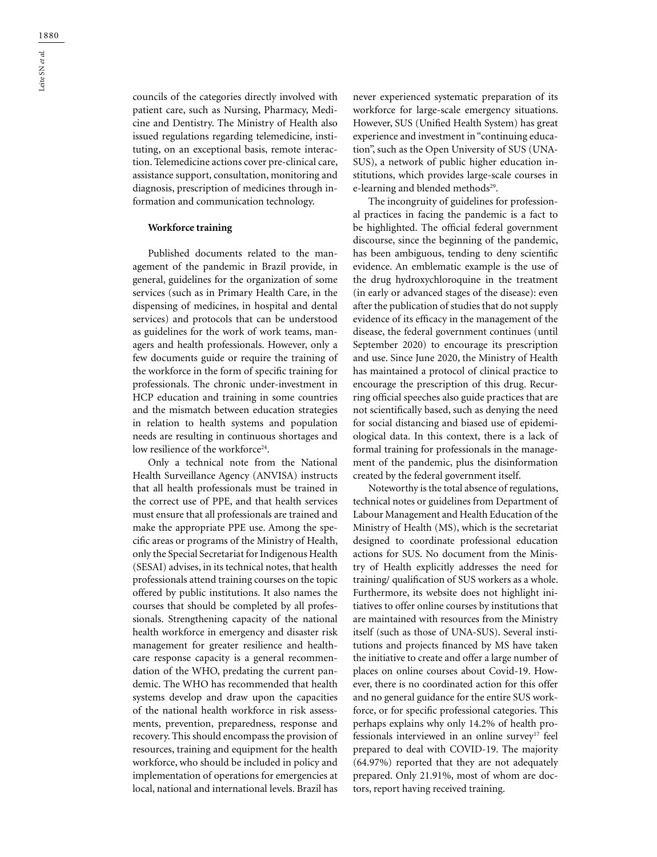councils of the categories directly involved with patient care, such as Nursing, Pharmacy, Medicine and Dentistry. The Ministry of Health also issued regulations regarding telemedicine, instituting, on an exceptional basis, remote interaction. Telemedicine actions cover pre-clinical care, assistance support, consultation, monitoring and diagnosis, prescription of medicines through information and communication technology.

#### **Workforce training**

Published documents related to the management of the pandemic in Brazil provide, in general, guidelines for the organization of some services (such as in Primary Health Care, in the dispensing of medicines, in hospital and dental services) and protocols that can be understood as guidelines for the work of work teams, managers and health professionals. However, only a few documents guide or require the training of the workforce in the form of specific training for professionals. The chronic under-investment in HCP education and training in some countries and the mismatch between education strategies in relation to health systems and population needs are resulting in continuous shortages and low resilience of the workforce<sup>24</sup>.

Only a technical note from the National Health Surveillance Agency (ANVISA) instructs that all health professionals must be trained in the correct use of PPE, and that health services must ensure that all professionals are trained and make the appropriate PPE use. Among the specific areas or programs of the Ministry of Health, only the Special Secretariat for Indigenous Health (SESAI) advises, in its technical notes, that health professionals attend training courses on the topic offered by public institutions. It also names the courses that should be completed by all professionals. Strengthening capacity of the national health workforce in emergency and disaster risk management for greater resilience and healthcare response capacity is a general recommendation of the WHO, predating the current pandemic. The WHO has recommended that health systems develop and draw upon the capacities of the national health workforce in risk assessments, prevention, preparedness, response and recovery. This should encompass the provision of resources, training and equipment for the health workforce, who should be included in policy and implementation of operations for emergencies at local, national and international levels. Brazil has

never experienced systematic preparation of its workforce for large-scale emergency situations. However, SUS (Unified Health System) has great experience and investment in "continuing education", such as the Open University of SUS (UNA-SUS), a network of public higher education institutions, which provides large-scale courses in e-learning and blended methods<sup>29</sup>.

The incongruity of guidelines for professional practices in facing the pandemic is a fact to be highlighted. The official federal government discourse, since the beginning of the pandemic, has been ambiguous, tending to deny scientific evidence. An emblematic example is the use of the drug hydroxychloroquine in the treatment (in early or advanced stages of the disease): even after the publication of studies that do not supply evidence of its efficacy in the management of the disease, the federal government continues (until September 2020) to encourage its prescription and use. Since June 2020, the Ministry of Health has maintained a protocol of clinical practice to encourage the prescription of this drug. Recurring official speeches also guide practices that are not scientifically based, such as denying the need for social distancing and biased use of epidemiological data. In this context, there is a lack of formal training for professionals in the management of the pandemic, plus the disinformation created by the federal government itself.

Noteworthy is the total absence of regulations, technical notes or guidelines from Department of Labour Management and Health Education of the Ministry of Health (MS), which is the secretariat designed to coordinate professional education actions for SUS. No document from the Ministry of Health explicitly addresses the need for training/ qualification of SUS workers as a whole. Furthermore, its website does not highlight initiatives to offer online courses by institutions that are maintained with resources from the Ministry itself (such as those of UNA-SUS). Several institutions and projects financed by MS have taken the initiative to create and offer a large number of places on online courses about Covid-19. However, there is no coordinated action for this offer and no general guidance for the entire SUS workforce, or for specific professional categories. This perhaps explains why only 14.2% of health professionals interviewed in an online survey<sup>17</sup> feel prepared to deal with COVID-19. The majority (64.97%) reported that they are not adequately prepared. Only 21.91%, most of whom are doctors, report having received training.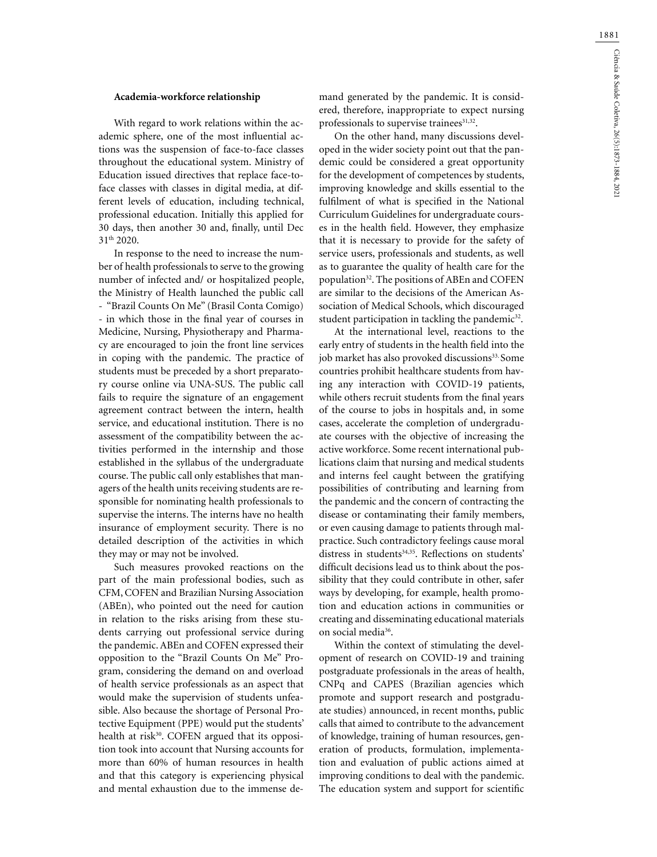## **Academia-workforce relationship**

With regard to work relations within the academic sphere, one of the most influential actions was the suspension of face-to-face classes throughout the educational system. Ministry of Education issued directives that replace face-toface classes with classes in digital media, at different levels of education, including technical, professional education. Initially this applied for 30 days, then another 30 and, finally, until Dec 31th 2020.

In response to the need to increase the number of health professionals to serve to the growing number of infected and/ or hospitalized people, the Ministry of Health launched the public call - "Brazil Counts On Me" (Brasil Conta Comigo) - in which those in the final year of courses in Medicine, Nursing, Physiotherapy and Pharmacy are encouraged to join the front line services in coping with the pandemic. The practice of students must be preceded by a short preparatory course online via UNA-SUS. The public call fails to require the signature of an engagement agreement contract between the intern, health service, and educational institution. There is no assessment of the compatibility between the activities performed in the internship and those established in the syllabus of the undergraduate course. The public call only establishes that managers of the health units receiving students are responsible for nominating health professionals to supervise the interns. The interns have no health insurance of employment security. There is no detailed description of the activities in which they may or may not be involved.

Such measures provoked reactions on the part of the main professional bodies, such as CFM, COFEN and Brazilian Nursing Association (ABEn), who pointed out the need for caution in relation to the risks arising from these students carrying out professional service during the pandemic. ABEn and COFEN expressed their opposition to the "Brazil Counts On Me" Program, considering the demand on and overload of health service professionals as an aspect that would make the supervision of students unfeasible. Also because the shortage of Personal Protective Equipment (PPE) would put the students' health at risk<sup>30</sup>. COFEN argued that its opposition took into account that Nursing accounts for more than 60% of human resources in health and that this category is experiencing physical and mental exhaustion due to the immense demand generated by the pandemic. It is considered, therefore, inappropriate to expect nursing professionals to supervise trainees $31,32$ .

On the other hand, many discussions developed in the wider society point out that the pandemic could be considered a great opportunity for the development of competences by students, improving knowledge and skills essential to the fulfilment of what is specified in the National Curriculum Guidelines for undergraduate courses in the health field. However, they emphasize that it is necessary to provide for the safety of service users, professionals and students, as well as to guarantee the quality of health care for the population32. The positions of ABEn and COFEN are similar to the decisions of the American Association of Medical Schools, which discouraged student participation in tackling the pandemic<sup>32</sup>.

At the international level, reactions to the early entry of students in the health field into the job market has also provoked discussions<sup>33.</sup> Some countries prohibit healthcare students from having any interaction with COVID-19 patients, while others recruit students from the final years of the course to jobs in hospitals and, in some cases, accelerate the completion of undergraduate courses with the objective of increasing the active workforce. Some recent international publications claim that nursing and medical students and interns feel caught between the gratifying possibilities of contributing and learning from the pandemic and the concern of contracting the disease or contaminating their family members, or even causing damage to patients through malpractice. Such contradictory feelings cause moral distress in students<sup>34,35</sup>. Reflections on students' difficult decisions lead us to think about the possibility that they could contribute in other, safer ways by developing, for example, health promotion and education actions in communities or creating and disseminating educational materials on social media36.

Within the context of stimulating the development of research on COVID-19 and training postgraduate professionals in the areas of health, CNPq and CAPES (Brazilian agencies which promote and support research and postgraduate studies) announced, in recent months, public calls that aimed to contribute to the advancement of knowledge, training of human resources, generation of products, formulation, implementation and evaluation of public actions aimed at improving conditions to deal with the pandemic. The education system and support for scientific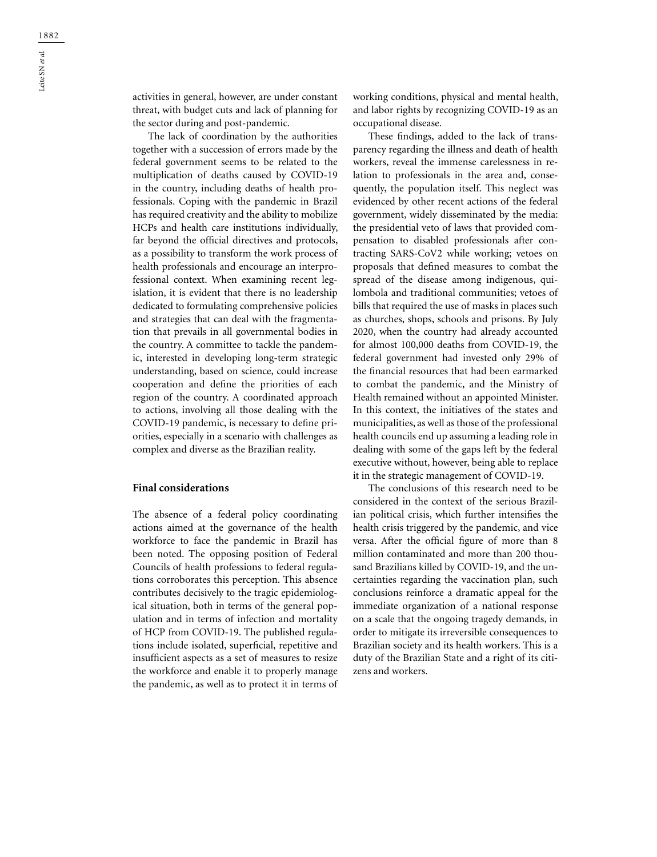activities in general, however, are under constant threat, with budget cuts and lack of planning for the sector during and post-pandemic.

The lack of coordination by the authorities together with a succession of errors made by the federal government seems to be related to the multiplication of deaths caused by COVID-19 in the country, including deaths of health professionals. Coping with the pandemic in Brazil has required creativity and the ability to mobilize HCPs and health care institutions individually, far beyond the official directives and protocols, as a possibility to transform the work process of health professionals and encourage an interprofessional context. When examining recent legislation, it is evident that there is no leadership dedicated to formulating comprehensive policies and strategies that can deal with the fragmentation that prevails in all governmental bodies in the country. A committee to tackle the pandemic, interested in developing long-term strategic understanding, based on science, could increase cooperation and define the priorities of each region of the country. A coordinated approach to actions, involving all those dealing with the COVID-19 pandemic, is necessary to define priorities, especially in a scenario with challenges as complex and diverse as the Brazilian reality.

## **Final considerations**

The absence of a federal policy coordinating actions aimed at the governance of the health workforce to face the pandemic in Brazil has been noted. The opposing position of Federal Councils of health professions to federal regulations corroborates this perception. This absence contributes decisively to the tragic epidemiological situation, both in terms of the general population and in terms of infection and mortality of HCP from COVID-19. The published regulations include isolated, superficial, repetitive and insufficient aspects as a set of measures to resize the workforce and enable it to properly manage the pandemic, as well as to protect it in terms of working conditions, physical and mental health, and labor rights by recognizing COVID-19 as an occupational disease.

These findings, added to the lack of transparency regarding the illness and death of health workers, reveal the immense carelessness in relation to professionals in the area and, consequently, the population itself. This neglect was evidenced by other recent actions of the federal government, widely disseminated by the media: the presidential veto of laws that provided compensation to disabled professionals after contracting SARS-CoV2 while working; vetoes on proposals that defined measures to combat the spread of the disease among indigenous, quilombola and traditional communities; vetoes of bills that required the use of masks in places such as churches, shops, schools and prisons. By July 2020, when the country had already accounted for almost 100,000 deaths from COVID-19, the federal government had invested only 29% of the financial resources that had been earmarked to combat the pandemic, and the Ministry of Health remained without an appointed Minister. In this context, the initiatives of the states and municipalities, as well as those of the professional health councils end up assuming a leading role in dealing with some of the gaps left by the federal executive without, however, being able to replace it in the strategic management of COVID-19.

The conclusions of this research need to be considered in the context of the serious Brazilian political crisis, which further intensifies the health crisis triggered by the pandemic, and vice versa. After the official figure of more than 8 million contaminated and more than 200 thousand Brazilians killed by COVID-19, and the uncertainties regarding the vaccination plan, such conclusions reinforce a dramatic appeal for the immediate organization of a national response on a scale that the ongoing tragedy demands, in order to mitigate its irreversible consequences to Brazilian society and its health workers. This is a duty of the Brazilian State and a right of its citizens and workers.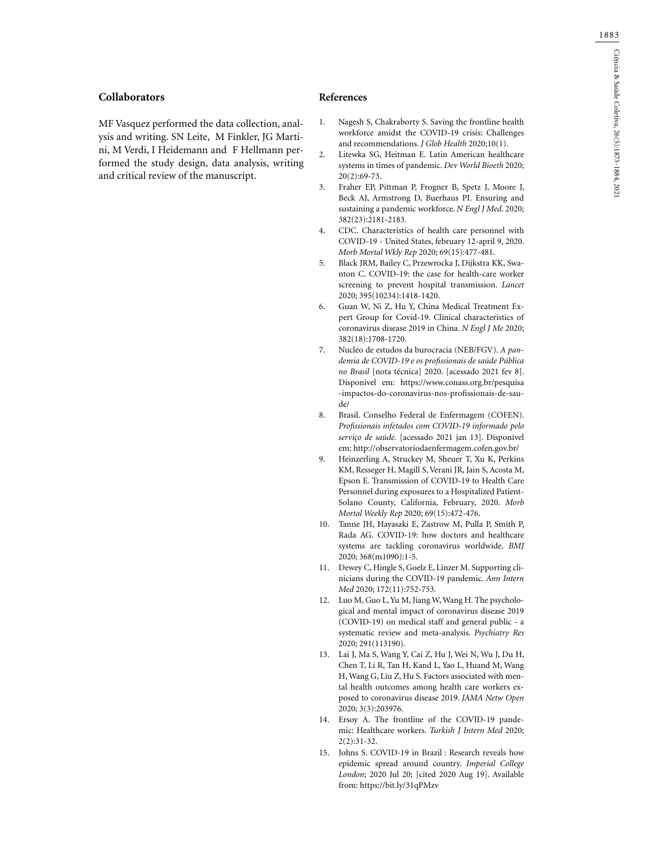## **Collaborators**

MF Vasquez performed the data collection, analysis and writing. SN Leite, M Finkler, JG Martini, M Verdi, I Heidemann and F Hellmann performed the study design, data analysis, writing and critical review of the manuscript.

## **References**

- 1. Nagesh S, Chakraborty S. Saving the frontline health workforce amidst the COVID-19 crisis: Challenges and recommendations. *J Glob Health* 2020;10(1).
- 2. Litewka SG, Heitman E. Latin American healthcare systems in times of pandemic. *Dev World Bioeth* 2020;  $20(2):69-73.$
- 3. Fraher EP, Pittman P, Frogner B, Spetz J, Moore J, Beck AJ, Armstrong D, Buerhaus PI. Ensuring and sustaining a pandemic workforce. *N Engl J Med*. 2020; 382(23):2181-2183.
- 4. CDC. Characteristics of health care personnel with COVID-19 - United States, february 12-april 9, 2020. *Morb Mortal Wkly Rep* 2020; 69(15):477-481.
- 5. Black JRM, Bailey C, Przewrocka J, Dijkstra KK, Swanton C. COVID-19: the case for health-care worker screening to prevent hospital transmission. *Lancet* 2020; 395(10234):1418-1420.
- 6. Guan W, Ni Z, Hu Y, China Medical Treatment Expert Group for Covid-19. Clinical characteristics of coronavirus disease 2019 in China. *N Engl J Me* 2020; 382(18):1708-1720.
- 7. Nucléo de estudos da burocracia (NEB/FGV). *A pandemia de COVID-19 e os profissionais de saúde Pública no Brasil* [nota técnica] 2020. [acessado 2021 fev 8]. Disponível em: https://www.conass.org.br/pesquisa -impactos-do-coronavirus-nos-profissionais-de-saude/
- 8. Brasil. Conselho Federal de Enfermagem (COFEN). *Profissionais infetados com COVID-19 informado pelo serviço de saúde.* [acessado 2021 jan 13]. Disponível em: http://observatoriodaenfermagem.cofen.gov.br/
- 9. Heinzerling A, Struckey M, Sheuer T, Xu K, Perkins KM, Resseger H, Magill S, Verani JR, Jain S, Acosta M, Epson E. Transmission of COVID-19 to Health Care Personnel during exposures to a Hospitalized Patient-Solano County, California, February, 2020. *Morb Mortal Weekly Rep* 2020; 69(15):472-476.
- 10. Tanne JH, Hayasaki E, Zastrow M, Pulla P, Smith P, Rada AG. COVID-19: how doctors and healthcare systems are tackling coronavirus worldwide. *BMJ* 2020; 368(m1090):1-5.
- 11. Dewey C, Hingle S, Goelz E, Linzer M. Supporting clinicians during the COVID-19 pandemic. *Ann Intern Med* 2020; 172(11):752-753.
- 12. Luo M, Guo L, Yu M, Jiang W, Wang H. The psychological and mental impact of coronavirus disease 2019 (COVID-19) on medical staff and general public - a systematic review and meta-analysis. *Psychiatry Res* 2020; 291(113190).
- 13. Lai J, Ma S, Wang Y, Cai Z, Hu J, Wei N, Wu J, Du H, Chen T, Li R, Tan H, Kand L, Yao L, Huand M, Wang H, Wang G, Liu Z, Hu S. Factors associated with mental health outcomes among health care workers exposed to coronavirus disease 2019. *JAMA Netw Open* 2020; 3(3):203976.
- 14. Ersoy A. The frontline of the COVID-19 pandemic: Healthcare workers. *Turkish J Intern Med* 2020; 2(2):31-32.
- 15. Johns S. COVID-19 in Brazil : Research reveals how epidemic spread around country. *Imperial College London*; 2020 Jul 20; [cited 2020 Aug 19]. Available from: https://bit.ly/31qPMzv